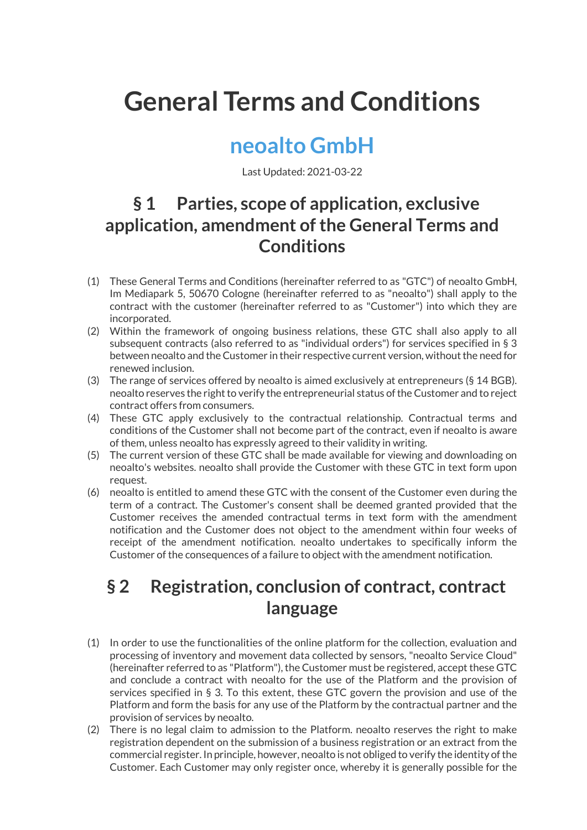# General Terms and Conditions

# neoalto GmbH

Last Updated: 2021-03-22

#### § 1 Parties, scope of application, exclusive application, amendment of the General Terms and **Conditions**

- (1) These General Terms and Conditions (hereinafter referred to as "GTC") of neoalto GmbH, Im Mediapark 5, 50670 Cologne (hereinafter referred to as "neoalto") shall apply to the contract with the customer (hereinafter referred to as "Customer") into which they are incorporated.
- (2) Within the framework of ongoing business relations, these GTC shall also apply to all subsequent contracts (also referred to as "individual orders") for services specified in § 3 between neoalto and the Customer in their respective current version, without the need for renewed inclusion.
- (3) The range of services offered by neoalto is aimed exclusively at entrepreneurs (§ 14 BGB). neoalto reserves the right to verify the entrepreneurial status of the Customer and to reject contract offers from consumers.
- (4) These GTC apply exclusively to the contractual relationship. Contractual terms and conditions of the Customer shall not become part of the contract, even if neoalto is aware of them, unless neoalto has expressly agreed to their validity in writing.
- (5) The current version of these GTC shall be made available for viewing and downloading on neoalto's websites. neoalto shall provide the Customer with these GTC in text form upon request.
- (6) neoalto is entitled to amend these GTC with the consent of the Customer even during the term of a contract. The Customer's consent shall be deemed granted provided that the Customer receives the amended contractual terms in text form with the amendment notification and the Customer does not object to the amendment within four weeks of receipt of the amendment notification. neoalto undertakes to specifically inform the Customer of the consequences of a failure to object with the amendment notification.

#### § 2 Registration, conclusion of contract, contract language

- (1) In order to use the functionalities of the online platform for the collection, evaluation and processing of inventory and movement data collected by sensors, "neoalto Service Cloud" (hereinafter referred to as "Platform"), the Customer must be registered, accept these GTC and conclude a contract with neoalto for the use of the Platform and the provision of services specified in § 3. To this extent, these GTC govern the provision and use of the Platform and form the basis for any use of the Platform by the contractual partner and the provision of services by neoalto.
- (2) There is no legal claim to admission to the Platform. neoalto reserves the right to make registration dependent on the submission of a business registration or an extract from the commercial register. In principle, however, neoalto is not obliged to verify the identity of the Customer. Each Customer may only register once, whereby it is generally possible for the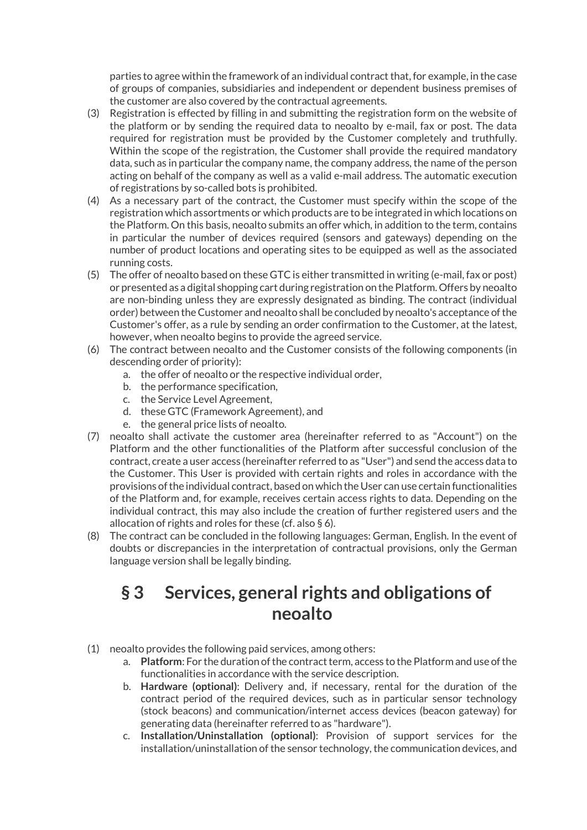parties to agree within the framework of an individual contract that, for example, in the case of groups of companies, subsidiaries and independent or dependent business premises of the customer are also covered by the contractual agreements.

- (3) Registration is effected by filling in and submitting the registration form on the website of the platform or by sending the required data to neoalto by e-mail, fax or post. The data required for registration must be provided by the Customer completely and truthfully. Within the scope of the registration, the Customer shall provide the required mandatory data, such as in particular the company name, the company address, the name of the person acting on behalf of the company as well as a valid e-mail address. The automatic execution of registrations by so-called bots is prohibited.
- (4) As a necessary part of the contract, the Customer must specify within the scope of the registration which assortments or which products are to be integrated in which locations on the Platform. On this basis, neoalto submits an offer which, in addition to the term, contains in particular the number of devices required (sensors and gateways) depending on the number of product locations and operating sites to be equipped as well as the associated running costs.
- (5) The offer of neoalto based on these GTC is either transmitted in writing (e-mail, fax or post) or presented as a digital shopping cart during registration on the Platform. Offers by neoalto are non-binding unless they are expressly designated as binding. The contract (individual order) between the Customer and neoalto shall be concluded by neoalto's acceptance of the Customer's offer, as a rule by sending an order confirmation to the Customer, at the latest, however, when neoalto begins to provide the agreed service.
- (6) The contract between neoalto and the Customer consists of the following components (in descending order of priority):
	- a. the offer of neoalto or the respective individual order,
	- b. the performance specification,
	- c. the Service Level Agreement,
	- d. these GTC (Framework Agreement), and
	- e. the general price lists of neoalto.
- (7) neoalto shall activate the customer area (hereinafter referred to as "Account") on the Platform and the other functionalities of the Platform after successful conclusion of the contract, create a user access (hereinafter referred to as "User") and send the access data to the Customer. This User is provided with certain rights and roles in accordance with the provisions of the individual contract, based on which the User can use certain functionalities of the Platform and, for example, receives certain access rights to data. Depending on the individual contract, this may also include the creation of further registered users and the allocation of rights and roles for these (cf. also § 6).
- (8) The contract can be concluded in the following languages: German, English. In the event of doubts or discrepancies in the interpretation of contractual provisions, only the German language version shall be legally binding.

#### § 3 Services, general rights and obligations of neoalto

- (1) neoalto provides the following paid services, among others:
	- a. Platform: For the duration of the contract term, access to the Platform and use of the functionalities in accordance with the service description.
	- b. Hardware (optional): Delivery and, if necessary, rental for the duration of the contract period of the required devices, such as in particular sensor technology (stock beacons) and communication/internet access devices (beacon gateway) for generating data (hereinafter referred to as "hardware").
	- c. Installation/Uninstallation (optional): Provision of support services for the installation/uninstallation of the sensor technology, the communication devices, and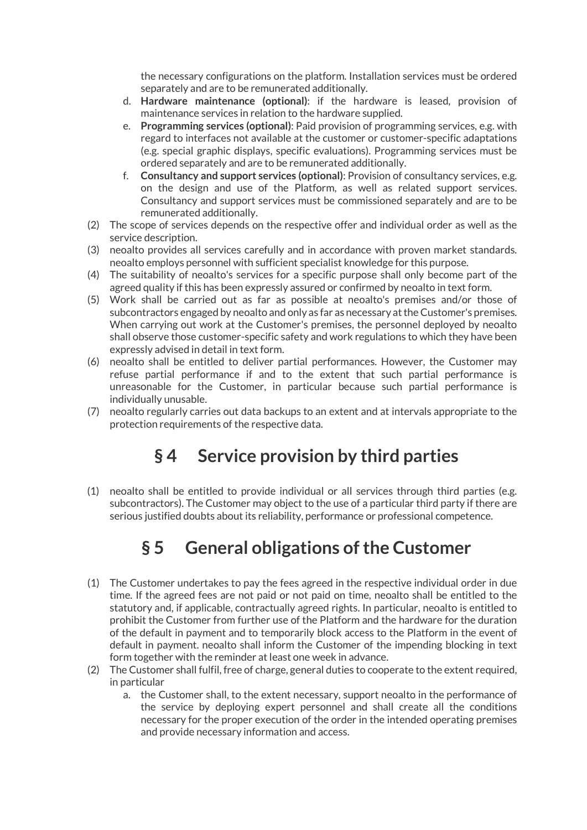the necessary configurations on the platform. Installation services must be ordered separately and are to be remunerated additionally.

- d. Hardware maintenance (optional): if the hardware is leased, provision of maintenance services in relation to the hardware supplied.
- e. Programming services (optional): Paid provision of programming services, e.g. with regard to interfaces not available at the customer or customer-specific adaptations (e.g. special graphic displays, specific evaluations). Programming services must be ordered separately and are to be remunerated additionally.
- f. Consultancy and support services (optional): Provision of consultancy services, e.g. on the design and use of the Platform, as well as related support services. Consultancy and support services must be commissioned separately and are to be remunerated additionally.
- (2) The scope of services depends on the respective offer and individual order as well as the service description.
- (3) neoalto provides all services carefully and in accordance with proven market standards. neoalto employs personnel with sufficient specialist knowledge for this purpose.
- (4) The suitability of neoalto's services for a specific purpose shall only become part of the agreed quality if this has been expressly assured or confirmed by neoalto in text form.
- (5) Work shall be carried out as far as possible at neoalto's premises and/or those of subcontractors engaged by neoalto and only as far as necessary at the Customer's premises. When carrying out work at the Customer's premises, the personnel deployed by neoalto shall observe those customer-specific safety and work regulations to which they have been expressly advised in detail in text form.
- (6) neoalto shall be entitled to deliver partial performances. However, the Customer may refuse partial performance if and to the extent that such partial performance is unreasonable for the Customer, in particular because such partial performance is individually unusable.
- (7) neoalto regularly carries out data backups to an extent and at intervals appropriate to the protection requirements of the respective data.

#### § 4 Service provision by third parties

(1) neoalto shall be entitled to provide individual or all services through third parties (e.g. subcontractors). The Customer may object to the use of a particular third party if there are serious justified doubts about its reliability, performance or professional competence.

# § 5 General obligations of the Customer

- (1) The Customer undertakes to pay the fees agreed in the respective individual order in due time. If the agreed fees are not paid or not paid on time, neoalto shall be entitled to the statutory and, if applicable, contractually agreed rights. In particular, neoalto is entitled to prohibit the Customer from further use of the Platform and the hardware for the duration of the default in payment and to temporarily block access to the Platform in the event of default in payment. neoalto shall inform the Customer of the impending blocking in text form together with the reminder at least one week in advance.
- (2) The Customer shall fulfil, free of charge, general duties to cooperate to the extent required, in particular
	- a. the Customer shall, to the extent necessary, support neoalto in the performance of the service by deploying expert personnel and shall create all the conditions necessary for the proper execution of the order in the intended operating premises and provide necessary information and access.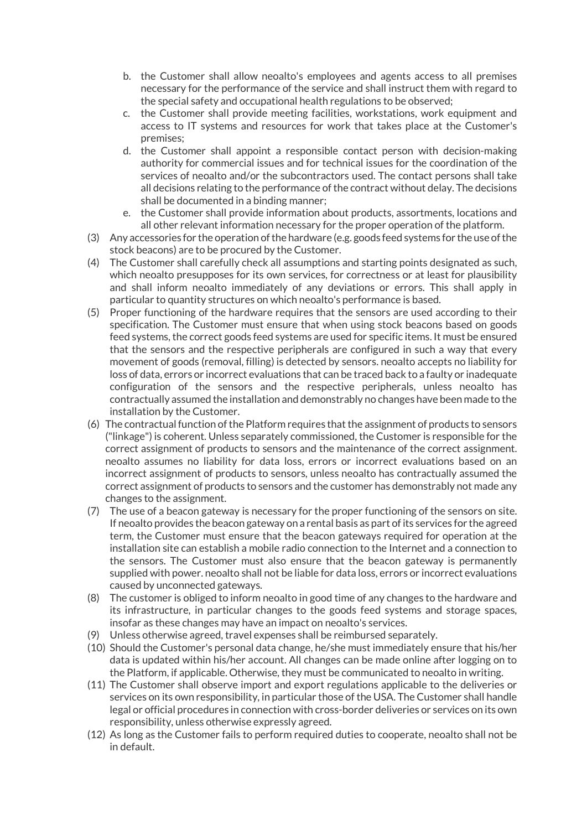- b. the Customer shall allow neoalto's employees and agents access to all premises necessary for the performance of the service and shall instruct them with regard to the special safety and occupational health regulations to be observed;
- c. the Customer shall provide meeting facilities, workstations, work equipment and access to IT systems and resources for work that takes place at the Customer's premises;
- d. the Customer shall appoint a responsible contact person with decision-making authority for commercial issues and for technical issues for the coordination of the services of neoalto and/or the subcontractors used. The contact persons shall take all decisions relating to the performance of the contract without delay. The decisions shall be documented in a binding manner;
- e. the Customer shall provide information about products, assortments, locations and all other relevant information necessary for the proper operation of the platform.
- (3) Any accessories for the operation of the hardware (e.g. goods feed systems for the use of the stock beacons) are to be procured by the Customer.
- (4) The Customer shall carefully check all assumptions and starting points designated as such, which neoalto presupposes for its own services, for correctness or at least for plausibility and shall inform neoalto immediately of any deviations or errors. This shall apply in particular to quantity structures on which neoalto's performance is based.
- (5) Proper functioning of the hardware requires that the sensors are used according to their specification. The Customer must ensure that when using stock beacons based on goods feed systems, the correct goods feed systems are used for specific items. It must be ensured that the sensors and the respective peripherals are configured in such a way that every movement of goods (removal, filling) is detected by sensors. neoalto accepts no liability for loss of data, errors or incorrect evaluations that can be traced back to a faulty or inadequate configuration of the sensors and the respective peripherals, unless neoalto has contractually assumed the installation and demonstrably no changes have been made to the installation by the Customer.
- (6) The contractual function of the Platform requires that the assignment of products to sensors ("linkage") is coherent. Unless separately commissioned, the Customer is responsible for the correct assignment of products to sensors and the maintenance of the correct assignment. neoalto assumes no liability for data loss, errors or incorrect evaluations based on an incorrect assignment of products to sensors, unless neoalto has contractually assumed the correct assignment of products to sensors and the customer has demonstrably not made any changes to the assignment.
- (7) The use of a beacon gateway is necessary for the proper functioning of the sensors on site. If neoalto provides the beacon gateway on a rental basis as part of its services for the agreed term, the Customer must ensure that the beacon gateways required for operation at the installation site can establish a mobile radio connection to the Internet and a connection to the sensors. The Customer must also ensure that the beacon gateway is permanently supplied with power. neoalto shall not be liable for data loss, errors or incorrect evaluations caused by unconnected gateways.
- (8) The customer is obliged to inform neoalto in good time of any changes to the hardware and its infrastructure, in particular changes to the goods feed systems and storage spaces, insofar as these changes may have an impact on neoalto's services.
- (9) Unless otherwise agreed, travel expenses shall be reimbursed separately.
- (10) Should the Customer's personal data change, he/she must immediately ensure that his/her data is updated within his/her account. All changes can be made online after logging on to the Platform, if applicable. Otherwise, they must be communicated to neoalto in writing.
- (11) The Customer shall observe import and export regulations applicable to the deliveries or services on its own responsibility, in particular those of the USA. The Customer shall handle legal or official procedures in connection with cross-border deliveries or services on its own responsibility, unless otherwise expressly agreed.
- (12) As long as the Customer fails to perform required duties to cooperate, neoalto shall not be in default.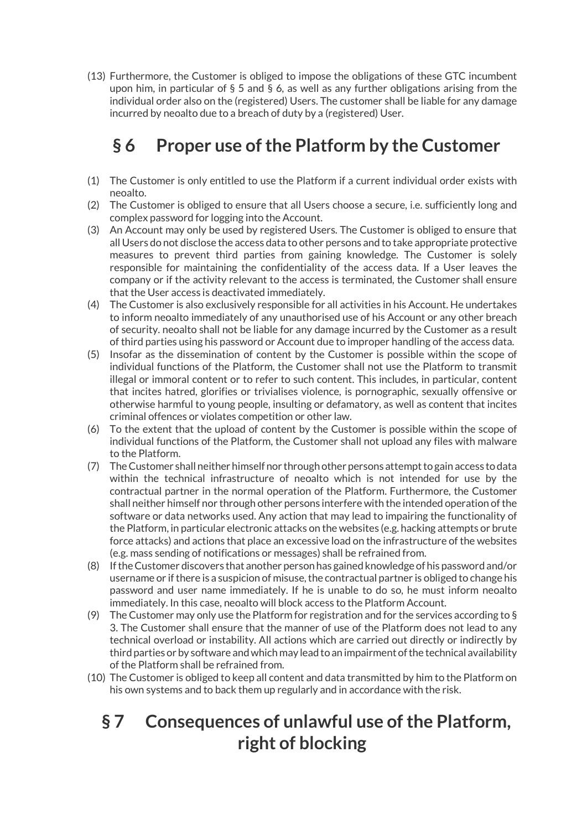(13) Furthermore, the Customer is obliged to impose the obligations of these GTC incumbent upon him, in particular of § 5 and § 6, as well as any further obligations arising from the individual order also on the (registered) Users. The customer shall be liable for any damage incurred by neoalto due to a breach of duty by a (registered) User.

# § 6 Proper use of the Platform by the Customer

- (1) The Customer is only entitled to use the Platform if a current individual order exists with neoalto.
- (2) The Customer is obliged to ensure that all Users choose a secure, i.e. sufficiently long and complex password for logging into the Account.
- (3) An Account may only be used by registered Users. The Customer is obliged to ensure that all Users do not disclose the access data to other persons and to take appropriate protective measures to prevent third parties from gaining knowledge. The Customer is solely responsible for maintaining the confidentiality of the access data. If a User leaves the company or if the activity relevant to the access is terminated, the Customer shall ensure that the User access is deactivated immediately.
- (4) The Customer is also exclusively responsible for all activities in his Account. He undertakes to inform neoalto immediately of any unauthorised use of his Account or any other breach of security. neoalto shall not be liable for any damage incurred by the Customer as a result of third parties using his password or Account due to improper handling of the access data.
- (5) Insofar as the dissemination of content by the Customer is possible within the scope of individual functions of the Platform, the Customer shall not use the Platform to transmit illegal or immoral content or to refer to such content. This includes, in particular, content that incites hatred, glorifies or trivialises violence, is pornographic, sexually offensive or otherwise harmful to young people, insulting or defamatory, as well as content that incites criminal offences or violates competition or other law.
- (6) To the extent that the upload of content by the Customer is possible within the scope of individual functions of the Platform, the Customer shall not upload any files with malware to the Platform.
- (7) The Customer shall neither himself nor through other persons attempt to gain access to data within the technical infrastructure of neoalto which is not intended for use by the contractual partner in the normal operation of the Platform. Furthermore, the Customer shall neither himself nor through other persons interfere with the intended operation of the software or data networks used. Any action that may lead to impairing the functionality of the Platform, in particular electronic attacks on the websites (e.g. hacking attempts or brute force attacks) and actions that place an excessive load on the infrastructure of the websites (e.g. mass sending of notifications or messages) shall be refrained from.
- (8) If the Customer discovers that another person has gained knowledge of his password and/or username or if there is a suspicion of misuse, the contractual partner is obliged to change his password and user name immediately. If he is unable to do so, he must inform neoalto immediately. In this case, neoalto will block access to the Platform Account.
- (9) The Customer may only use the Platform for registration and for the services according to  $\S$ 3. The Customer shall ensure that the manner of use of the Platform does not lead to any technical overload or instability. All actions which are carried out directly or indirectly by third parties or by software and which may lead to an impairment of the technical availability of the Platform shall be refrained from.
- (10) The Customer is obliged to keep all content and data transmitted by him to the Platform on his own systems and to back them up regularly and in accordance with the risk.

# § 7 Consequences of unlawful use of the Platform, right of blocking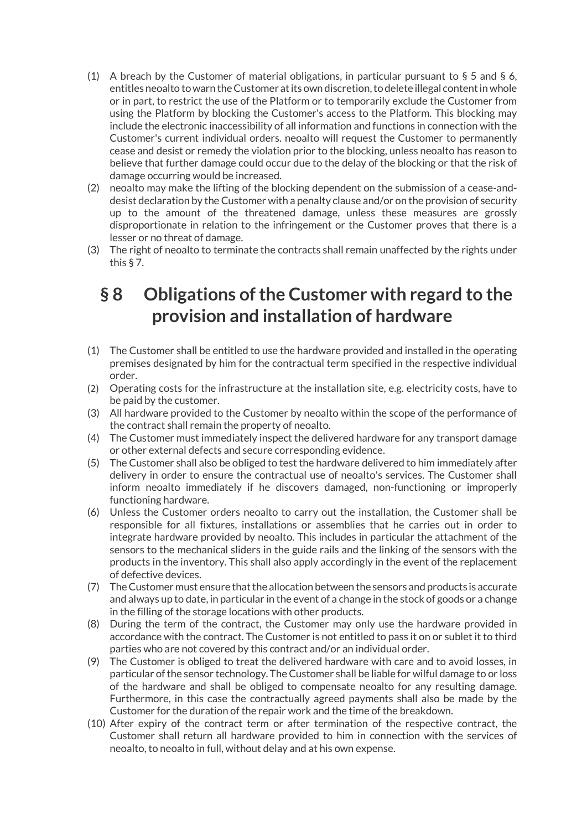- (1) A breach by the Customer of material obligations, in particular pursuant to  $\S$  5 and  $\S$  6, entitles neoalto to warn the Customer at its own discretion, to delete illegal content in whole or in part, to restrict the use of the Platform or to temporarily exclude the Customer from using the Platform by blocking the Customer's access to the Platform. This blocking may include the electronic inaccessibility of all information and functions in connection with the Customer's current individual orders. neoalto will request the Customer to permanently cease and desist or remedy the violation prior to the blocking, unless neoalto has reason to believe that further damage could occur due to the delay of the blocking or that the risk of damage occurring would be increased.
- (2) neoalto may make the lifting of the blocking dependent on the submission of a cease-anddesist declaration by the Customer with a penalty clause and/or on the provision of security up to the amount of the threatened damage, unless these measures are grossly disproportionate in relation to the infringement or the Customer proves that there is a lesser or no threat of damage.
- (3) The right of neoalto to terminate the contracts shall remain unaffected by the rights under this § 7.

#### § 8 Obligations of the Customer with regard to the provision and installation of hardware

- (1) The Customer shall be entitled to use the hardware provided and installed in the operating premises designated by him for the contractual term specified in the respective individual order.
- (2) Operating costs for the infrastructure at the installation site, e.g. electricity costs, have to be paid by the customer.
- (3) All hardware provided to the Customer by neoalto within the scope of the performance of the contract shall remain the property of neoalto.
- (4) The Customer must immediately inspect the delivered hardware for any transport damage or other external defects and secure corresponding evidence.
- (5) The Customer shall also be obliged to test the hardware delivered to him immediately after delivery in order to ensure the contractual use of neoalto's services. The Customer shall inform neoalto immediately if he discovers damaged, non-functioning or improperly functioning hardware.
- (6) Unless the Customer orders neoalto to carry out the installation, the Customer shall be responsible for all fixtures, installations or assemblies that he carries out in order to integrate hardware provided by neoalto. This includes in particular the attachment of the sensors to the mechanical sliders in the guide rails and the linking of the sensors with the products in the inventory. This shall also apply accordingly in the event of the replacement of defective devices.
- (7) The Customer must ensure that the allocation between the sensors and products is accurate and always up to date, in particular in the event of a change in the stock of goods or a change in the filling of the storage locations with other products.
- (8) During the term of the contract, the Customer may only use the hardware provided in accordance with the contract. The Customer is not entitled to pass it on or sublet it to third parties who are not covered by this contract and/or an individual order.
- (9) The Customer is obliged to treat the delivered hardware with care and to avoid losses, in particular of the sensor technology. The Customer shall be liable for wilful damage to or loss of the hardware and shall be obliged to compensate neoalto for any resulting damage. Furthermore, in this case the contractually agreed payments shall also be made by the Customer for the duration of the repair work and the time of the breakdown.
- (10) After expiry of the contract term or after termination of the respective contract, the Customer shall return all hardware provided to him in connection with the services of neoalto, to neoalto in full, without delay and at his own expense.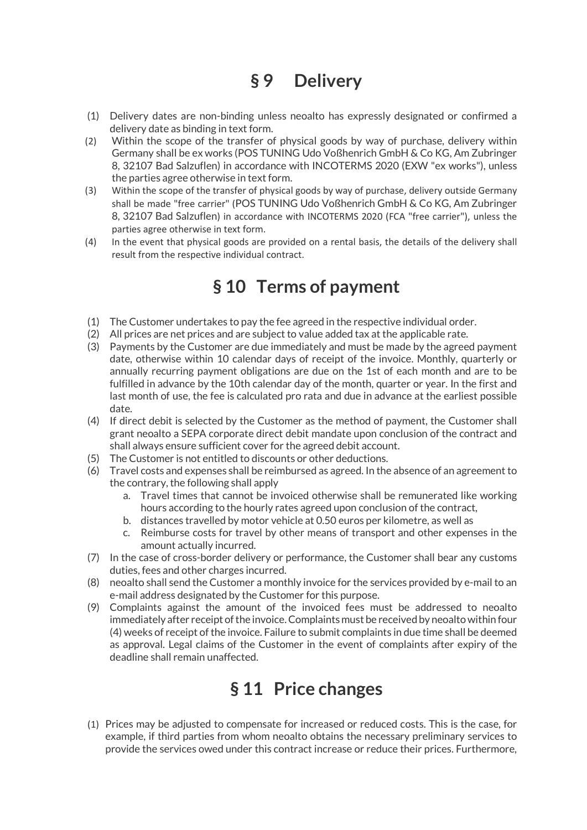# § 9 Delivery

- (1) Delivery dates are non-binding unless neoalto has expressly designated or confirmed a delivery date as binding in text form.
- (2) Within the scope of the transfer of physical goods by way of purchase, delivery within Germany shall be ex works (POS TUNING Udo Voßhenrich GmbH & Co KG, Am Zubringer 8, 32107 Bad Salzuflen) in accordance with INCOTERMS 2020 (EXW "ex works"), unless the parties agree otherwise in text form.
- (3) Within the scope of the transfer of physical goods by way of purchase, delivery outside Germany shall be made "free carrier" (POS TUNING Udo Voßhenrich GmbH & Co KG, Am Zubringer 8, 32107 Bad Salzuflen) in accordance with INCOTERMS 2020 (FCA "free carrier"), unless the parties agree otherwise in text form.
- (4) In the event that physical goods are provided on a rental basis, the details of the delivery shall result from the respective individual contract.

#### § 10 Terms of payment

- (1) The Customer undertakes to pay the fee agreed in the respective individual order.
- (2) All prices are net prices and are subject to value added tax at the applicable rate.
- (3) Payments by the Customer are due immediately and must be made by the agreed payment date, otherwise within 10 calendar days of receipt of the invoice. Monthly, quarterly or annually recurring payment obligations are due on the 1st of each month and are to be fulfilled in advance by the 10th calendar day of the month, quarter or year. In the first and last month of use, the fee is calculated pro rata and due in advance at the earliest possible date.
- (4) If direct debit is selected by the Customer as the method of payment, the Customer shall grant neoalto a SEPA corporate direct debit mandate upon conclusion of the contract and shall always ensure sufficient cover for the agreed debit account.
- (5) The Customer is not entitled to discounts or other deductions.
- (6) Travel costs and expenses shall be reimbursed as agreed. In the absence of an agreement to the contrary, the following shall apply
	- a. Travel times that cannot be invoiced otherwise shall be remunerated like working hours according to the hourly rates agreed upon conclusion of the contract,
	- b. distances travelled by motor vehicle at 0.50 euros per kilometre, as well as
	- c. Reimburse costs for travel by other means of transport and other expenses in the amount actually incurred.
- (7) In the case of cross-border delivery or performance, the Customer shall bear any customs duties, fees and other charges incurred.
- (8) neoalto shall send the Customer a monthly invoice for the services provided by e-mail to an e-mail address designated by the Customer for this purpose.
- (9) Complaints against the amount of the invoiced fees must be addressed to neoalto immediately after receipt of the invoice. Complaints must be received by neoalto within four (4) weeks of receipt of the invoice. Failure to submit complaints in due time shall be deemed as approval. Legal claims of the Customer in the event of complaints after expiry of the deadline shall remain unaffected.

#### § 11 Price changes

(1) Prices may be adjusted to compensate for increased or reduced costs. This is the case, for example, if third parties from whom neoalto obtains the necessary preliminary services to provide the services owed under this contract increase or reduce their prices. Furthermore,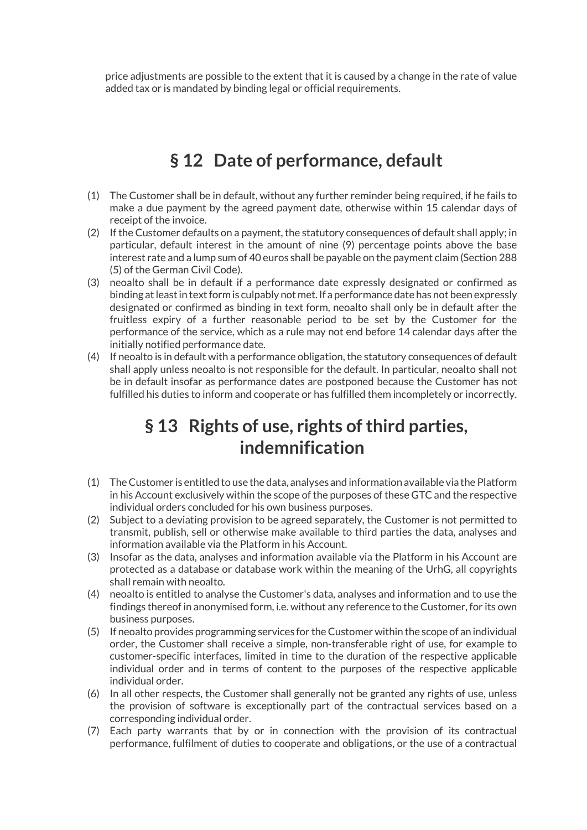price adjustments are possible to the extent that it is caused by a change in the rate of value added tax or is mandated by binding legal or official requirements.

#### § 12 Date of performance, default

- (1) The Customer shall be in default, without any further reminder being required, if he fails to make a due payment by the agreed payment date, otherwise within 15 calendar days of receipt of the invoice.
- (2) If the Customer defaults on a payment, the statutory consequences of default shall apply; in particular, default interest in the amount of nine (9) percentage points above the base interest rate and a lump sum of 40 euros shall be payable on the payment claim (Section 288 (5) of the German Civil Code).
- (3) neoalto shall be in default if a performance date expressly designated or confirmed as binding at least in text form is culpably not met. If a performance date has not been expressly designated or confirmed as binding in text form, neoalto shall only be in default after the fruitless expiry of a further reasonable period to be set by the Customer for the performance of the service, which as a rule may not end before 14 calendar days after the initially notified performance date.
- (4) If neoalto is in default with a performance obligation, the statutory consequences of default shall apply unless neoalto is not responsible for the default. In particular, neoalto shall not be in default insofar as performance dates are postponed because the Customer has not fulfilled his duties to inform and cooperate or has fulfilled them incompletely or incorrectly.

#### § 13 Rights of use, rights of third parties, indemnification

- (1) The Customer is entitled to use the data, analyses and information available via the Platform in his Account exclusively within the scope of the purposes of these GTC and the respective individual orders concluded for his own business purposes.
- (2) Subject to a deviating provision to be agreed separately, the Customer is not permitted to transmit, publish, sell or otherwise make available to third parties the data, analyses and information available via the Platform in his Account.
- (3) Insofar as the data, analyses and information available via the Platform in his Account are protected as a database or database work within the meaning of the UrhG, all copyrights shall remain with neoalto.
- (4) neoalto is entitled to analyse the Customer's data, analyses and information and to use the findings thereof in anonymised form, i.e. without any reference to the Customer, for its own business purposes.
- (5) If neoalto provides programming services for the Customer within the scope of an individual order, the Customer shall receive a simple, non-transferable right of use, for example to customer-specific interfaces, limited in time to the duration of the respective applicable individual order and in terms of content to the purposes of the respective applicable individual order.
- (6) In all other respects, the Customer shall generally not be granted any rights of use, unless the provision of software is exceptionally part of the contractual services based on a corresponding individual order.
- (7) Each party warrants that by or in connection with the provision of its contractual performance, fulfilment of duties to cooperate and obligations, or the use of a contractual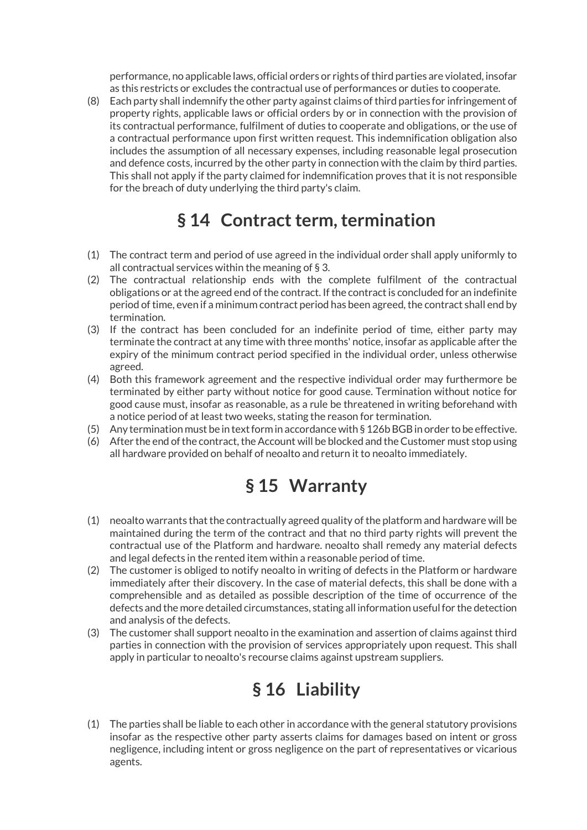performance, no applicable laws, official orders or rights of third parties are violated, insofar as this restricts or excludes the contractual use of performances or duties to cooperate.

(8) Each party shall indemnify the other party against claims of third parties for infringement of property rights, applicable laws or official orders by or in connection with the provision of its contractual performance, fulfilment of duties to cooperate and obligations, or the use of a contractual performance upon first written request. This indemnification obligation also includes the assumption of all necessary expenses, including reasonable legal prosecution and defence costs, incurred by the other party in connection with the claim by third parties. This shall not apply if the party claimed for indemnification proves that it is not responsible for the breach of duty underlying the third party's claim.

#### § 14 Contract term, termination

- (1) The contract term and period of use agreed in the individual order shall apply uniformly to all contractual services within the meaning of § 3.
- (2) The contractual relationship ends with the complete fulfilment of the contractual obligations or at the agreed end of the contract. If the contract is concluded for an indefinite period of time, even if a minimum contract period has been agreed, the contract shall end by termination.
- (3) If the contract has been concluded for an indefinite period of time, either party may terminate the contract at any time with three months' notice, insofar as applicable after the expiry of the minimum contract period specified in the individual order, unless otherwise agreed.
- (4) Both this framework agreement and the respective individual order may furthermore be terminated by either party without notice for good cause. Termination without notice for good cause must, insofar as reasonable, as a rule be threatened in writing beforehand with a notice period of at least two weeks, stating the reason for termination.
- (5) Any termination must be in text form in accordance with § 126b BGB in order to be effective.
- (6) After the end of the contract, the Account will be blocked and the Customer must stop using all hardware provided on behalf of neoalto and return it to neoalto immediately.

#### § 15 Warranty

- (1) neoalto warrants that the contractually agreed quality of the platform and hardware will be maintained during the term of the contract and that no third party rights will prevent the contractual use of the Platform and hardware. neoalto shall remedy any material defects and legal defects in the rented item within a reasonable period of time.
- (2) The customer is obliged to notify neoalto in writing of defects in the Platform or hardware immediately after their discovery. In the case of material defects, this shall be done with a comprehensible and as detailed as possible description of the time of occurrence of the defects and the more detailed circumstances, stating all information useful for the detection and analysis of the defects.
- (3) The customer shall support neoalto in the examination and assertion of claims against third parties in connection with the provision of services appropriately upon request. This shall apply in particular to neoalto's recourse claims against upstream suppliers.

# § 16 Liability

(1) The parties shall be liable to each other in accordance with the general statutory provisions insofar as the respective other party asserts claims for damages based on intent or gross negligence, including intent or gross negligence on the part of representatives or vicarious agents.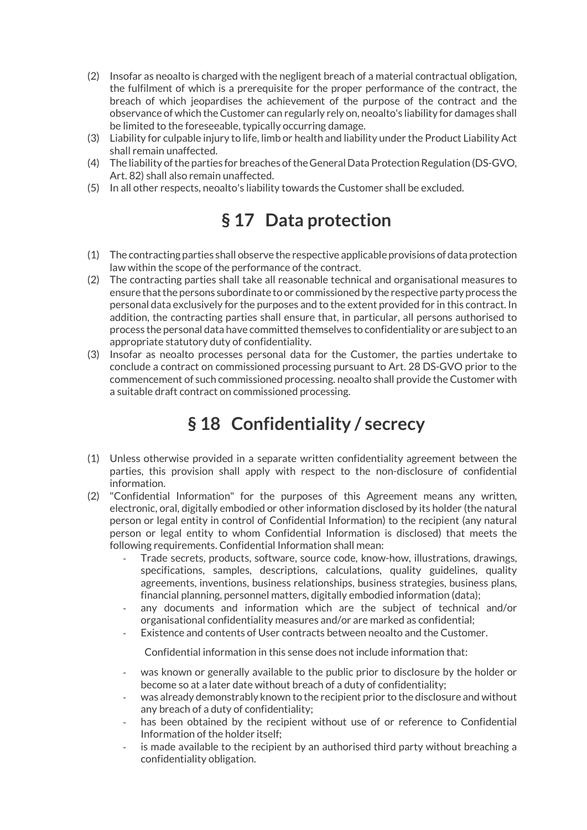- (2) Insofar as neoalto is charged with the negligent breach of a material contractual obligation, the fulfilment of which is a prerequisite for the proper performance of the contract, the breach of which jeopardises the achievement of the purpose of the contract and the observance of which the Customer can regularly rely on, neoalto's liability for damages shall be limited to the foreseeable, typically occurring damage.
- (3) Liability for culpable injury to life, limb or health and liability under the Product Liability Act shall remain unaffected.
- (4) The liability of the parties for breaches of the General Data Protection Regulation (DS-GVO, Art. 82) shall also remain unaffected.
- (5) In all other respects, neoalto's liability towards the Customer shall be excluded.

#### § 17 Data protection

- (1) The contracting parties shall observe the respective applicable provisions of data protection law within the scope of the performance of the contract.
- (2) The contracting parties shall take all reasonable technical and organisational measures to ensure that the persons subordinate to or commissioned by the respective party process the personal data exclusively for the purposes and to the extent provided for in this contract. In addition, the contracting parties shall ensure that, in particular, all persons authorised to process the personal data have committed themselves to confidentiality or are subject to an appropriate statutory duty of confidentiality.
- (3) Insofar as neoalto processes personal data for the Customer, the parties undertake to conclude a contract on commissioned processing pursuant to Art. 28 DS-GVO prior to the commencement of such commissioned processing. neoalto shall provide the Customer with a suitable draft contract on commissioned processing.

#### § 18 Confidentiality / secrecy

- (1) Unless otherwise provided in a separate written confidentiality agreement between the parties, this provision shall apply with respect to the non-disclosure of confidential information.
- (2) "Confidential Information" for the purposes of this Agreement means any written, electronic, oral, digitally embodied or other information disclosed by its holder (the natural person or legal entity in control of Confidential Information) to the recipient (any natural person or legal entity to whom Confidential Information is disclosed) that meets the following requirements. Confidential Information shall mean:
	- Trade secrets, products, software, source code, know-how, illustrations, drawings, specifications, samples, descriptions, calculations, quality guidelines, quality agreements, inventions, business relationships, business strategies, business plans, financial planning, personnel matters, digitally embodied information (data);
	- any documents and information which are the subject of technical and/or organisational confidentiality measures and/or are marked as confidential;
	- Existence and contents of User contracts between neoalto and the Customer.

Confidential information in this sense does not include information that:

- was known or generally available to the public prior to disclosure by the holder or become so at a later date without breach of a duty of confidentiality;
- was already demonstrably known to the recipient prior to the disclosure and without any breach of a duty of confidentiality;
- has been obtained by the recipient without use of or reference to Confidential Information of the holder itself;
- is made available to the recipient by an authorised third party without breaching a confidentiality obligation.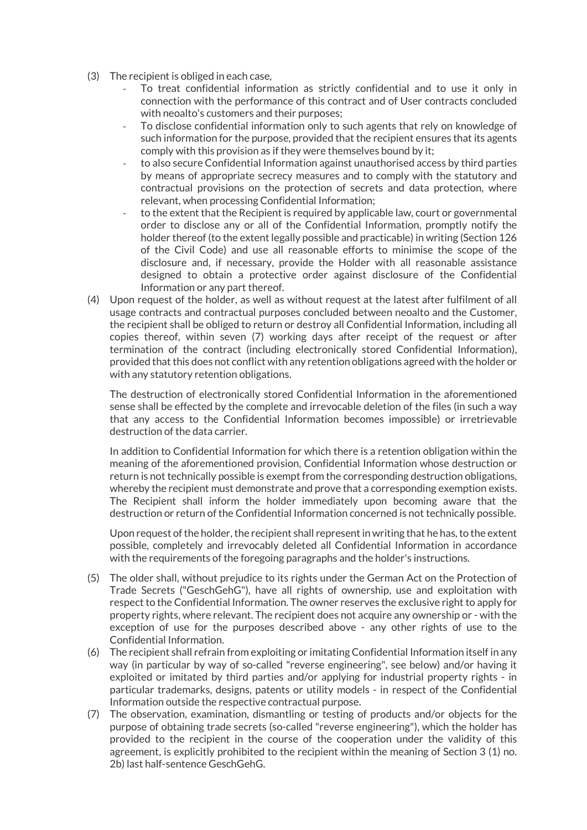- (3) The recipient is obliged in each case,
	- To treat confidential information as strictly confidential and to use it only in connection with the performance of this contract and of User contracts concluded with neoalto's customers and their purposes;
	- To disclose confidential information only to such agents that rely on knowledge of such information for the purpose, provided that the recipient ensures that its agents comply with this provision as if they were themselves bound by it;
	- to also secure Confidential Information against unauthorised access by third parties by means of appropriate secrecy measures and to comply with the statutory and contractual provisions on the protection of secrets and data protection, where relevant, when processing Confidential Information;
	- to the extent that the Recipient is required by applicable law, court or governmental order to disclose any or all of the Confidential Information, promptly notify the holder thereof (to the extent legally possible and practicable) in writing (Section 126 of the Civil Code) and use all reasonable efforts to minimise the scope of the disclosure and, if necessary, provide the Holder with all reasonable assistance designed to obtain a protective order against disclosure of the Confidential Information or any part thereof.
- (4) Upon request of the holder, as well as without request at the latest after fulfilment of all usage contracts and contractual purposes concluded between neoalto and the Customer, the recipient shall be obliged to return or destroy all Confidential Information, including all copies thereof, within seven (7) working days after receipt of the request or after termination of the contract (including electronically stored Confidential Information), provided that this does not conflict with any retention obligations agreed with the holder or with any statutory retention obligations.

The destruction of electronically stored Confidential Information in the aforementioned sense shall be effected by the complete and irrevocable deletion of the files (in such a way that any access to the Confidential Information becomes impossible) or irretrievable destruction of the data carrier.

In addition to Confidential Information for which there is a retention obligation within the meaning of the aforementioned provision, Confidential Information whose destruction or return is not technically possible is exempt from the corresponding destruction obligations, whereby the recipient must demonstrate and prove that a corresponding exemption exists. The Recipient shall inform the holder immediately upon becoming aware that the destruction or return of the Confidential Information concerned is not technically possible.

Upon request of the holder, the recipient shall represent in writing that he has, to the extent possible, completely and irrevocably deleted all Confidential Information in accordance with the requirements of the foregoing paragraphs and the holder's instructions.

- (5) The older shall, without prejudice to its rights under the German Act on the Protection of Trade Secrets ("GeschGehG"), have all rights of ownership, use and exploitation with respect to the Confidential Information. The owner reserves the exclusive right to apply for property rights, where relevant. The recipient does not acquire any ownership or - with the exception of use for the purposes described above - any other rights of use to the Confidential Information.
- (6) The recipient shall refrain from exploiting or imitating Confidential Information itself in any way (in particular by way of so-called "reverse engineering", see below) and/or having it exploited or imitated by third parties and/or applying for industrial property rights - in particular trademarks, designs, patents or utility models - in respect of the Confidential Information outside the respective contractual purpose.
- (7) The observation, examination, dismantling or testing of products and/or objects for the purpose of obtaining trade secrets (so-called "reverse engineering"), which the holder has provided to the recipient in the course of the cooperation under the validity of this agreement, is explicitly prohibited to the recipient within the meaning of Section 3 (1) no. 2b) last half-sentence GeschGehG.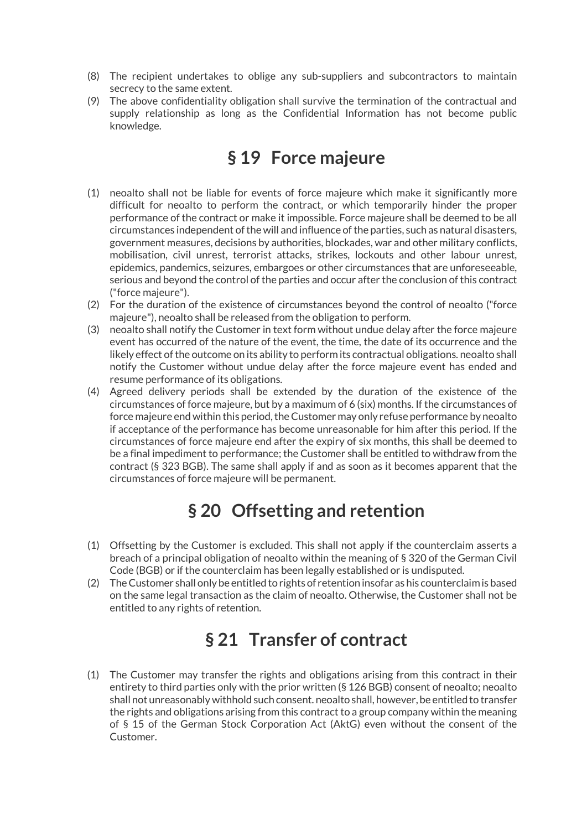- (8) The recipient undertakes to oblige any sub-suppliers and subcontractors to maintain secrecy to the same extent.
- (9) The above confidentiality obligation shall survive the termination of the contractual and supply relationship as long as the Confidential Information has not become public knowledge.

#### § 19 Force majeure

- (1) neoalto shall not be liable for events of force majeure which make it significantly more difficult for neoalto to perform the contract, or which temporarily hinder the proper performance of the contract or make it impossible. Force majeure shall be deemed to be all circumstances independent of the will and influence of the parties, such as natural disasters, government measures, decisions by authorities, blockades, war and other military conflicts, mobilisation, civil unrest, terrorist attacks, strikes, lockouts and other labour unrest, epidemics, pandemics, seizures, embargoes or other circumstances that are unforeseeable, serious and beyond the control of the parties and occur after the conclusion of this contract ("force majeure").
- (2) For the duration of the existence of circumstances beyond the control of neoalto ("force majeure"), neoalto shall be released from the obligation to perform.
- (3) neoalto shall notify the Customer in text form without undue delay after the force majeure event has occurred of the nature of the event, the time, the date of its occurrence and the likely effect of the outcome on its ability to perform its contractual obligations. neoalto shall notify the Customer without undue delay after the force majeure event has ended and resume performance of its obligations.
- (4) Agreed delivery periods shall be extended by the duration of the existence of the circumstances of force majeure, but by a maximum of 6 (six) months. If the circumstances of force majeure end within this period, the Customer may only refuse performance by neoalto if acceptance of the performance has become unreasonable for him after this period. If the circumstances of force majeure end after the expiry of six months, this shall be deemed to be a final impediment to performance; the Customer shall be entitled to withdraw from the contract (§ 323 BGB). The same shall apply if and as soon as it becomes apparent that the circumstances of force majeure will be permanent.

# § 20 Offsetting and retention

- (1) Offsetting by the Customer is excluded. This shall not apply if the counterclaim asserts a breach of a principal obligation of neoalto within the meaning of § 320 of the German Civil Code (BGB) or if the counterclaim has been legally established or is undisputed.
- (2) The Customer shall only be entitled to rights of retention insofar as his counterclaim is based on the same legal transaction as the claim of neoalto. Otherwise, the Customer shall not be entitled to any rights of retention.

#### § 21 Transfer of contract

(1) The Customer may transfer the rights and obligations arising from this contract in their entirety to third parties only with the prior written (§ 126 BGB) consent of neoalto; neoalto shall not unreasonably withhold such consent. neoalto shall, however, be entitled to transfer the rights and obligations arising from this contract to a group company within the meaning of § 15 of the German Stock Corporation Act (AktG) even without the consent of the Customer.